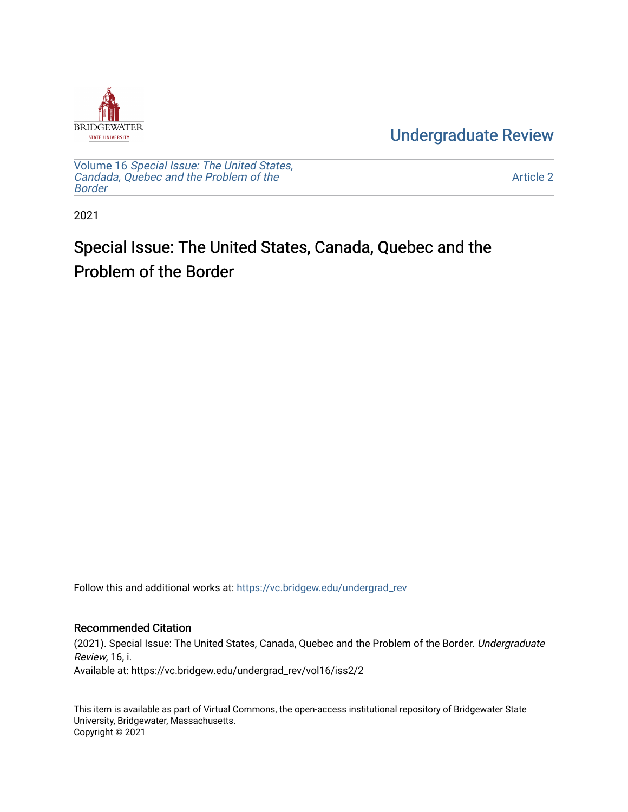

[Undergraduate Review](https://vc.bridgew.edu/undergrad_rev) 

Volume 16 [Special Issue: The United States,](https://vc.bridgew.edu/undergrad_rev/vol16)  [Candada, Quebec and the Problem of the](https://vc.bridgew.edu/undergrad_rev/vol16)  [Border](https://vc.bridgew.edu/undergrad_rev/vol16)

[Article 2](https://vc.bridgew.edu/undergrad_rev/vol16/iss2/2) 

2021

# Special Issue: The United States, Canada, Quebec and the Problem of the Border

Follow this and additional works at: [https://vc.bridgew.edu/undergrad\\_rev](https://vc.bridgew.edu/undergrad_rev?utm_source=vc.bridgew.edu%2Fundergrad_rev%2Fvol16%2Fiss2%2F2&utm_medium=PDF&utm_campaign=PDFCoverPages)

#### Recommended Citation

(2021). Special Issue: The United States, Canada, Quebec and the Problem of the Border. Undergraduate Review, 16, i. Available at: https://vc.bridgew.edu/undergrad\_rev/vol16/iss2/2

This item is available as part of Virtual Commons, the open-access institutional repository of Bridgewater State University, Bridgewater, Massachusetts. Copyright © 2021